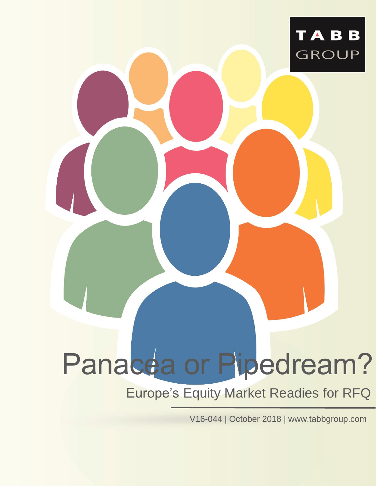

# Panacea or Pipedream?

### Europe's Equity Market Readies for RFQ

V16-044 | October 2018 | [www.tabbgroup.com](http://www.tabbgroup.com/)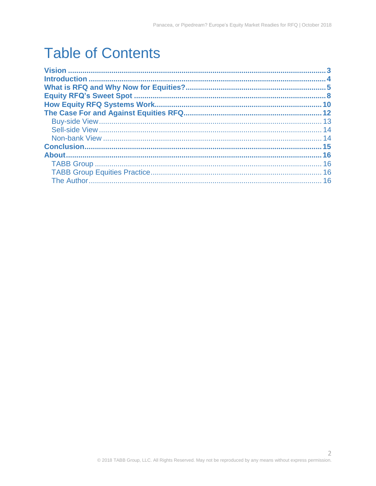# **Table of Contents**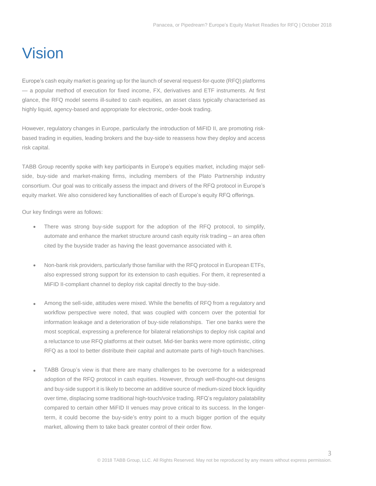### <span id="page-2-0"></span>Vision

Europe's cash equity market is gearing up for the launch of several request-for-quote (RFQ) platforms — a popular method of execution for fixed income, FX, derivatives and ETF instruments. At first glance, the RFQ model seems ill-suited to cash equities, an asset class typically characterised as highly liquid, agency-based and appropriate for electronic, order-book trading.

However, regulatory changes in Europe, particularly the introduction of MiFID II, are promoting riskbased trading in equities, leading brokers and the buy-side to reassess how they deploy and access risk capital.

TABB Group recently spoke with key participants in Europe's equities market, including major sellside, buy-side and market-making firms, including members of the Plato Partnership industry consortium. Our goal was to critically assess the impact and drivers of the RFQ protocol in Europe's equity market. We also considered key functionalities of each of Europe's equity RFQ offerings.

Our key findings were as follows:

- There was strong buy-side support for the adoption of the RFQ protocol, to simplify, automate and enhance the market structure around cash equity risk trading – an area often cited by the buyside trader as having the least governance associated with it.
- Non-bank risk providers, particularly those familiar with the RFQ protocol in European ETFs, also expressed strong support for its extension to cash equities. For them, it represented a MiFID II-compliant channel to deploy risk capital directly to the buy-side.
- Among the sell-side, attitudes were mixed. While the benefits of RFQ from a regulatory and workflow perspective were noted, that was coupled with concern over the potential for information leakage and a deterioration of buy-side relationships. Tier one banks were the most sceptical, expressing a preference for bilateral relationships to deploy risk capital and a reluctance to use RFQ platforms at their outset. Mid-tier banks were more optimistic, citing RFQ as a tool to better distribute their capital and automate parts of high-touch franchises.
- TABB Group's view is that there are many challenges to be overcome for a widespread adoption of the RFQ protocol in cash equities. However, through well-thought-out designs and buy-side support it is likely to become an additive source of medium-sized block liquidity over time, displacing some traditional high-touch/voice trading. RFQ's regulatory palatability compared to certain other MiFID II venues may prove critical to its success. In the longerterm, it could become the buy-side's entry point to a much bigger portion of the equity market, allowing them to take back greater control of their order flow.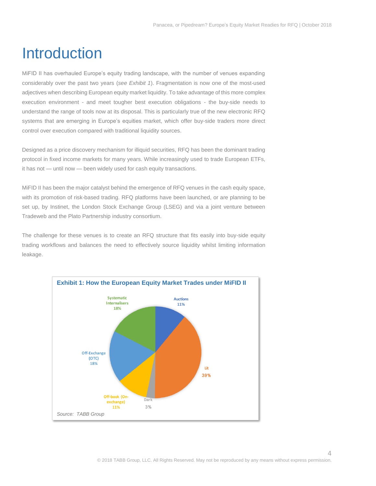## <span id="page-3-0"></span>Introduction

MiFID II has overhauled Europe's equity trading landscape, with the number of venues expanding considerably over the past two years (*see Exhibit 1*). Fragmentation is now one of the most-used adjectives when describing European equity market liquidity. To take advantage of this more complex execution environment - and meet tougher best execution obligations - the buy-side needs to understand the range of tools now at its disposal. This is particularly true of the new electronic RFQ systems that are emerging in Europe's equities market, which offer buy-side traders more direct control over execution compared with traditional liquidity sources.

Designed as a price discovery mechanism for illiquid securities, RFQ has been the dominant trading protocol in fixed income markets for many years. While increasingly used to trade European ETFs, it has not — until now — been widely used for cash equity transactions.

MiFID II has been the major catalyst behind the emergence of RFQ venues in the cash equity space, with its promotion of risk-based trading. RFQ platforms have been launched, or are planning to be set up, by Instinet, the London Stock Exchange Group (LSEG) and via a joint venture between Tradeweb and the Plato Partnership industry consortium.

The challenge for these venues is to create an RFQ structure that fits easily into buy-side equity trading workflows and balances the need to effectively source liquidity whilst limiting information leakage.

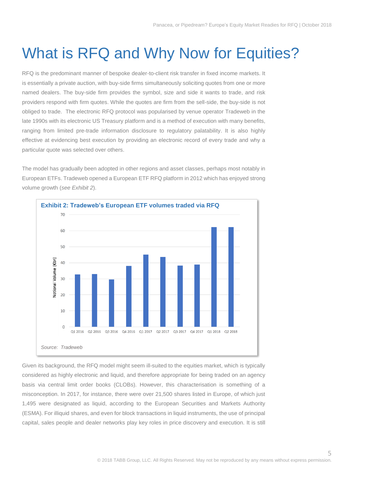# <span id="page-4-0"></span>What is RFQ and Why Now for Equities?

RFQ is the predominant manner of bespoke dealer-to-client risk transfer in fixed income markets. It is essentially a private auction, with buy-side firms simultaneously soliciting quotes from one or more named dealers. The buy-side firm provides the symbol, size and side it wants to trade, and risk providers respond with firm quotes. While the quotes are firm from the sell-side, the buy-side is not obliged to trade. The electronic RFQ protocol was popularised by venue operator Tradeweb in the late 1990s with its electronic US Treasury platform and is a method of execution with many benefits, ranging from limited pre-trade information disclosure to regulatory palatability. It is also highly effective at evidencing best execution by providing an electronic record of every trade and why a particular quote was selected over others.

The model has gradually been adopted in other regions and asset classes, perhaps most notably in European ETFs. Tradeweb opened a European ETF RFQ platform in 2012 which has enjoyed strong volume growth (*see Exhibit 2*).



Given its background, the RFQ model might seem ill-suited to the equities market, which is typically considered as highly electronic and liquid, and therefore appropriate for being traded on an agency basis via central limit order books (CLOBs). However, this characterisation is something of a misconception. In 2017, for instance, there were over 21,500 shares listed in Europe, of which just 1,495 were designated as liquid, according to the European Securities and Markets Authority (ESMA). For illiquid shares, and even for block transactions in liquid instruments, the use of principal capital, sales people and dealer networks play key roles in price discovery and execution. It is still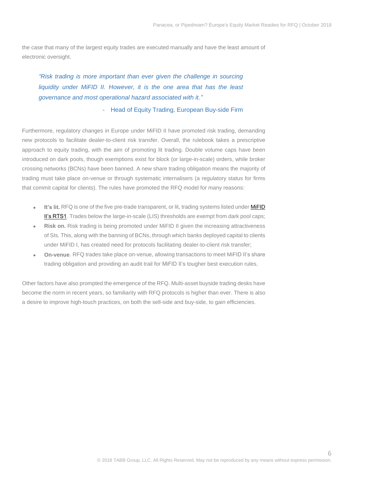the case that many of the largest equity trades are executed manually and have the least amount of electronic oversight.

*"Risk trading is more important than ever given the challenge in sourcing liquidity under MiFID II. However, it is the one area that has the least governance and most operational hazard associated with it."*

*-* Head of Equity Trading, European Buy-side Firm

Furthermore, regulatory changes in Europe under MiFID II have promoted risk trading, demanding new protocols to facilitate dealer-to-client risk transfer. Overall, the rulebook takes a prescriptive approach to equity trading, with the aim of promoting lit trading. Double volume caps have been introduced on dark pools, though exemptions exist for block (or large-in-scale) orders, while broker crossing networks (BCNs) have been banned. A new share trading obligation means the majority of trading must take place on-venue or through systematic internalisers (a regulatory status for firms that commit capital for clients). The rules have promoted the RFQ model for many reasons:

- It's lit. RFQ is one of the five pre-trade transparent, or lit, trading systems listed under MiFID [II'](http://ec.europa.eu/finance/securities/docs/isd/mifid/rts/160714-rts-1-annex_en.pdf)s RTS1. Trades below the large-in-scale (LIS) thresholds are exempt from dark pool caps;
- **Risk on.** Risk trading is being promoted under MiFID II given the increasing attractiveness of SIs. This, along with the banning of BCNs, through which banks deployed capital to clients under MiFID I, has created need for protocols facilitating dealer-to-client risk transfer;
- **On-venue**. RFQ trades take place on-venue, allowing transactions to meet MiFID II's share trading obligation and providing an audit trail for MiFID II's tougher best execution rules.

Other factors have also prompted the emergence of the RFQ. Multi-asset buyside trading desks have become the norm in recent years, so familiarity with RFQ protocols is higher than ever. There is also a desire to improve high-touch practices, on both the sell-side and buy-side, to gain efficiencies.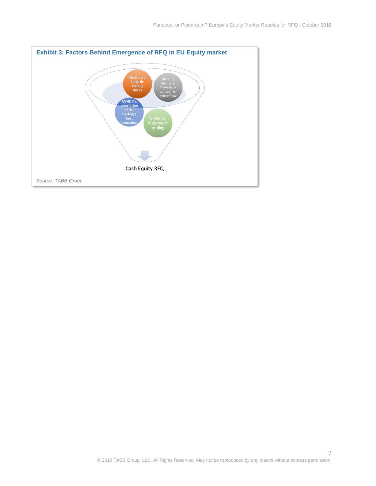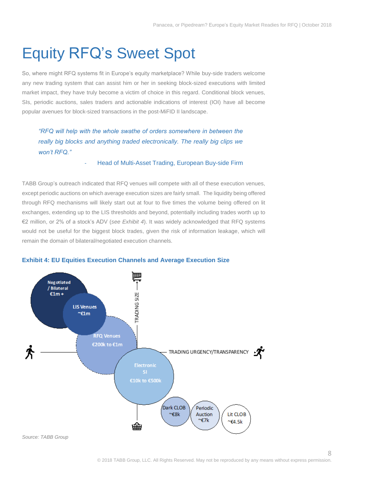# <span id="page-7-0"></span>Equity RFQ's Sweet Spot

So, where might RFQ systems fit in Europe's equity marketplace? While buy-side traders welcome any new trading system that can assist him or her in seeking block-sized executions with limited market impact, they have truly become a victim of choice in this regard. Conditional block venues, SIs, periodic auctions, sales traders and actionable indications of interest (IOI) have all become popular avenues for block-sized transactions in the post-MiFID II landscape.

*"RFQ will help with the whole swathe of orders somewhere in between the*  really big blocks and anything traded electronically. The really big clips we *won't RFQ."*

#### Head of Multi-Asset Trading, European Buy-side Firm

TABB Group's outreach indicated that RFQ venues will compete with all of these execution venues, except periodic auctions on which average execution sizes are fairly small. The liquidity being offered through RFQ mechanisms will likely start out at four to five times the volume being offered on lit exchanges, extending up to the LIS thresholds and beyond, potentially including trades worth up to €2 million, or 2% of a stock's ADV (*see Exhibit 4*). It was widely acknowledged that RFQ systems would not be useful for the biggest block trades, given the risk of information leakage, which will remain the domain of bilateral/negotiated execution channels.



#### **Exhibit 4: EU Equities Execution Channels and Average Execution Size**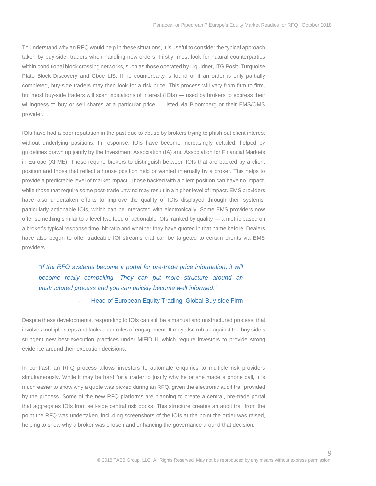To understand why an RFQ would help in these situations, it is useful to consider the typical approach taken by buy-sider traders when handling new orders. Firstly, most look for natural counterparties within conditional block crossing networks, such as those operated by Liquidnet, ITG Posit, Turquoise Plato Block Discovery and Cboe LIS. If no counterparty is found or if an order is only partially completed, buy-side traders may then look for a risk price. This process will vary from firm to firm, but most buy-side traders will scan indications of interest (IOIs) — used by brokers to express their willingness to buy or sell shares at a particular price — listed via Bloomberg or their EMS/OMS provider.

IOIs have had a poor reputation in the past due to abuse by brokers trying to phish out client interest without underlying positions. In response, IOIs have become increasingly detailed, helped by guidelines drawn up jointly by the Investment Association (IA) and Association for Financial Markets in Europe (AFME). These require brokers to distinguish between IOIs that are backed by a client position and those that reflect a house position held or wanted internally by a broker. This helps to provide a predictable level of market impact. Those backed with a client position can have no impact, while those that require some post-trade unwind may result in a higher level of impact. EMS providers have also undertaken efforts to improve the quality of IOIs displayed through their systems, particularly actionable IOIs, which can be interacted with electronically. Some EMS providers now offer something similar to a level two feed of actionable IOIs, ranked by quality — a metric based on a broker's typical response time, hit ratio and whether they have quoted in that name before. Dealers have also begun to offer tradeable IOI streams that can be targeted to certain clients via EMS providers.

*"If the RFQ systems become a portal for pre-trade price information, it will become really compelling. They can put more structure around an unstructured process and you can quickly become well informed."*

#### Head of European Equity Trading, Global Buy-side Firm

Despite these developments, responding to IOIs can still be a manual and unstructured process, that involves multiple steps and lacks clear rules of engagement. It may also rub up against the buy side's stringent new best-execution practices under MiFID II, which require investors to provide strong evidence around their execution decisions.

In contrast, an RFQ process allows investors to automate enquiries to multiple risk providers simultaneously. While it may be hard for a trader to justify why he or she made a phone call, it is much easier to show why a quote was picked during an RFQ, given the electronic audit trail provided by the process. Some of the new RFQ platforms are planning to create a central, pre-trade portal that aggregates IOIs from sell-side central risk books. This structure creates an audit trail from the point the RFQ was undertaken, including screenshots of the IOIs at the point the order was raised, helping to show why a broker was chosen and enhancing the governance around that decision.

 $\cup$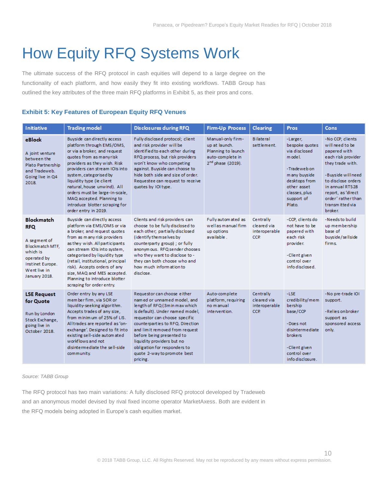# <span id="page-9-0"></span>How Equity RFQ Systems Work

The ultimate success of the RFQ protocol in cash equities will depend to a large degree on the functionality of each platform, and how easily they fit into existing workflows. TABB Group has outlined the key attributes of the three main RFQ platforms in Exhibit 5, as their pros and cons.

#### **Exhibit 5: Key Features of European Equity RFQ Venues**

| Initiative                                                                                                                                         | <b>Trading model</b>                                                                                                                                                                                                                                                                                                                                                                                 | <b>Disclosures during RFQ</b>                                                                                                                                                                                                                                                                                                                                                | <b>Firm-Up Process</b>                                                                                        | <b>Clearing</b>                                          | <b>Pros</b>                                                                                                                                                       | Cons                                                                                                                                                                                                                                   |
|----------------------------------------------------------------------------------------------------------------------------------------------------|------------------------------------------------------------------------------------------------------------------------------------------------------------------------------------------------------------------------------------------------------------------------------------------------------------------------------------------------------------------------------------------------------|------------------------------------------------------------------------------------------------------------------------------------------------------------------------------------------------------------------------------------------------------------------------------------------------------------------------------------------------------------------------------|---------------------------------------------------------------------------------------------------------------|----------------------------------------------------------|-------------------------------------------------------------------------------------------------------------------------------------------------------------------|----------------------------------------------------------------------------------------------------------------------------------------------------------------------------------------------------------------------------------------|
| <b>eBlock</b><br>A joint venture<br>between the<br>Plato Partnership<br>and Tradeweb.<br>Going live in Q4<br>2018.                                 | Buyside can directly access<br>platform through EMS/OMS,<br>or via a broker, and request<br>quotes from as manyrisk<br>providers as they wish. Risk<br>providers can stream IOIs into<br>system, categorised by<br>liquidity type (ie client<br>natural, house unwind). All<br>orders must be large-in-scale,<br>MAQ accepted. Planning to<br>introduce blotter scraping for<br>order entry in 2019. | Fully disclosed protocol; client<br>and risk provider will be<br>identified to each other during<br>RFQ process, but risk providers<br>won't know who competing<br>against. Buyside can choose to<br>hide both side and size of order.<br>Requestee can request to receive<br>quotes by IOI type.                                                                            | Manual-only firm-<br>up at launch.<br>Planning to launch<br>auto-complete in<br>2 <sup>nd</sup> phase (2019). | <b>Bilateral</b><br>settlement.                          | -Larger,<br>bespoke quotes<br>via disclosed<br>m ode l.<br>-Tradeweb on<br>m any buyside<br>desktops from<br>other asset<br>classes, plus<br>support of<br>Plato. | -No CCP, clients<br>will need to be<br>papered with<br>each risk provider<br>they trade with.<br>-Buyside will need<br>to disclose orders<br>in annual RTS28<br>report, as 'direct<br>order' rather than<br>transmitted via<br>broker. |
| <b>Blockmatch</b><br><b>RFQ</b><br>A segment of<br>Blockmatch MTF,<br>which is<br>operated by<br>Instinet Europe.<br>Went live in<br>January 2018. | Buyside can directly access<br>platform via EMS/OMS or via<br>a broker, and request quotes<br>from as many risk providers<br>as they wish. All participants<br>can stream IOIs into system,<br>categorised by liquidity type<br>(retail, institutional, principal<br>risk). Accepts orders of any<br>size, MAQ and MES accepted.<br>Planning to introduce blotter<br>scraping for order entry.       | Clients and risk providers can<br>choose to be fully disclosed to<br>each other; partially disclosed<br>(identify themselves by<br>counterparty group) ; or fully<br>anonym ous. RFQ sender chooses<br>who they want to disclose to -<br>they can both choose who and<br>how much information to<br>disclose.                                                                | Fully automated as<br>well as manual firm<br>up options<br>available.                                         | Centrally<br>cleared via<br><i>interoperable</i><br>CCP. | -CCP, clients do<br>not have to be<br>papered with<br>each risk<br>provider.<br>-Client given<br>control over<br>info disclosed.                                  | -Needs to build<br>up membership<br>base of<br>buyside/sellside<br>firms.                                                                                                                                                              |
| <b>LSE Request</b><br>for Quote<br>Run by London<br>Stock Exchange,<br>going live in<br>October 2018.                                              | Order entry by any LSE<br>member firm, via SOR or<br>liquidity-seeking algorithm.<br>Accepts trades of any size,<br>from minimum of 25% of LIS.<br>Alltrades are reported as 'on-<br>exchange'. Designed to fit into<br>existing sell-side automated<br>workflows and not<br>disintermediate the sell-side<br>community.                                                                             | Requestor can choose either<br>named or unnamed model, and<br>length of RFQ (3m in max which<br>is default). Under named model,<br>requestor can choose specific<br>counterparties to RFQ. Direction<br>and limit removed from request<br>before being presented to<br>liquidity providers but no<br>obligation for responders to<br>quote 2-way to promote best<br>pricing. | Auto-complete<br>platform, requiring<br>no manual<br>intervention.                                            | Centrally<br>cleared via<br>interoperable<br>CCP.        | $-LSE$<br>credibility/mem<br>bership.<br>base/CCP<br>-Does not<br>disintermediate<br>brokers<br>-Client given<br>control over<br>info disclosure.                 | -No pre-trade IOI<br>support.<br>-Relies on broker<br>support as<br>sponsored access<br>only.                                                                                                                                          |

#### *Source: TABB Group*

The RFQ protocol has two main variations: A fully disclosed RFQ protocol developed by Tradeweb and an anonymous model devised by rival fixed income operator MarketAxess. Both are evident in the RFQ models being adopted in Europe's cash equities market.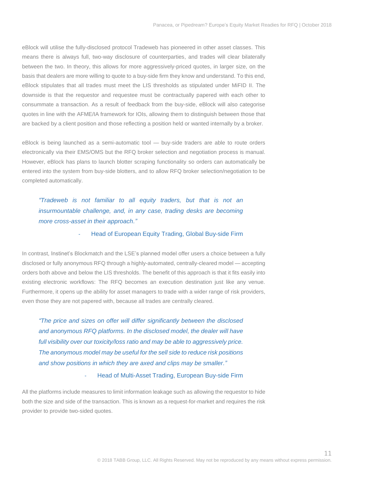eBlock will utilise the fully-disclosed protocol Tradeweb has pioneered in other asset classes. This means there is always full, two-way disclosure of counterparties, and trades will clear bilaterally between the two. In theory, this allows for more aggressively-priced quotes, in larger size, on the basis that dealers are more willing to quote to a buy-side firm they know and understand. To this end, eBlock stipulates that all trades must meet the LIS thresholds as stipulated under MiFID II. The downside is that the requestor and requestee must be contractually papered with each other to consummate a transaction. As a result of feedback from the buy-side, eBlock will also categorise quotes in line with the AFME/IA framework for IOIs, allowing them to distinguish between those that are backed by a client position and those reflecting a position held or wanted internally by a broker.

eBlock is being launched as a semi-automatic tool — buy-side traders are able to route orders electronically via their EMS/OMS but the RFQ broker selection and negotiation process is manual. However, eBlock has plans to launch blotter scraping functionality so orders can automatically be entered into the system from buy-side blotters, and to allow RFQ broker selection/negotiation to be completed automatically.

*"Tradeweb is not familiar to all equity traders, but that is not an insurmountable challenge, and, in any case, trading desks are becoming more cross-asset in their approach."* 

#### Head of European Equity Trading, Global Buy-side Firm

In contrast, Instinet's Blockmatch and the LSE's planned model offer users a choice between a fully disclosed or fully anonymous RFQ through a highly-automated, centrally-cleared model — accepting orders both above and below the LIS thresholds. The benefit of this approach is that it fits easily into existing electronic workflows: The RFQ becomes an execution destination just like any venue. Furthermore, it opens up the ability for asset managers to trade with a wider range of risk providers, even those they are not papered with, because all trades are centrally cleared.

*"The price and sizes on offer will differ significantly between the disclosed and anonymous RFQ platforms. In the disclosed model, the dealer will have full visibility over our toxicity/loss ratio and may be able to aggressively price. The anonymous model may be useful for the sell side to reduce risk positions and show positions in which they are axed and clips may be smaller."* 

#### Head of Multi-Asset Trading, European Buy-side Firm

All the platforms include measures to limit information leakage such as allowing the requestor to hide both the size and side of the transaction. This is known as a request-for-market and requires the risk provider to provide two-sided quotes.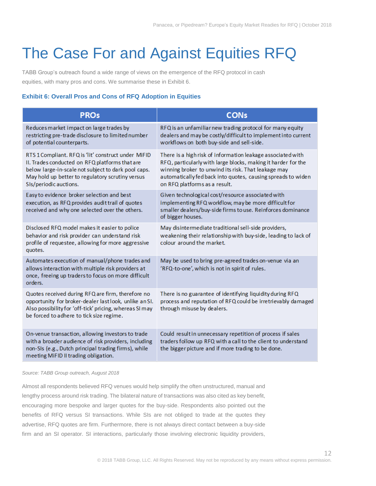# <span id="page-11-0"></span>The Case For and Against Equities RFQ

TABB Group's outreach found a wide range of views on the emergence of the RFQ protocol in cash equities, with many pros and cons. We summarise these in Exhibit 6.

#### **Exhibit 6: Overall Pros and Cons of RFQ Adoption in Equities**

| <b>PROs</b>                                                                                                                                                                                                                                | <b>CONs</b>                                                                                                                                                                                                                                                                          |
|--------------------------------------------------------------------------------------------------------------------------------------------------------------------------------------------------------------------------------------------|--------------------------------------------------------------------------------------------------------------------------------------------------------------------------------------------------------------------------------------------------------------------------------------|
| Reduces market impact on large trades by<br>restricting pre-trade disclosure to limited number<br>of potential counterparts.                                                                                                               | RFQ is an unfamiliar new trading protocol for many equity<br>dealers and may be costly/difficult to implement into current<br>workflows on both buy-side and sell-side.                                                                                                              |
| RTS 1 Compliant. RFQ is 'lit' construct under MiFID<br>II. Trades conducted on RFQ platforms that are<br>below large-in-scale not subject to dark pool caps.<br>May hold up better to regulatory scrutiny versus<br>SIs/periodic auctions. | There is a high risk of information leakage associated with<br>RFQ, particularly with large blocks, making it harder for the<br>winning broker to unwind its risk. That leakage may<br>automatically fed back into quotes, causing spreads to widen<br>on RFQ platforms as a result. |
| Easy to evidence broker selection and best<br>execution, as RFQ provides audit trail of quotes<br>received and why one selected over the others.                                                                                           | Given technological cost/resource associated with<br>implementing RFQ workflow, may be more difficult for<br>smaller dealers/buy-side firms to use. Reinforces dominance<br>of bigger houses.                                                                                        |
| Disclosed RFQ model makes it easier to police<br>behavior and risk provider can understand risk<br>profile of requestee, allowing for more aggressive<br>quotes.                                                                           | May disintermediate traditional sell-side providers,<br>weakening their relationship with buy-side, leading to lack of<br>colour around the market.                                                                                                                                  |
| Automates execution of manual/phone trades and<br>allows interaction with multiple risk providers at<br>once, freeing up traders to focus on more difficult<br>orders.                                                                     | May be used to bring pre-agreed trades on-venue via an<br>'RFQ-to-one', which is not in spirit of rules.                                                                                                                                                                             |
| Quotes received during RFQ are firm, therefore no<br>opportunity for broker-dealer last look, unlike an SI.<br>Also possibility for 'off-tick' pricing, whereas SI may<br>be forced to adhere to tick size regime.                         | There is no guarantee of identifying liquidity during RFQ<br>process and reputation of RFQ could be irretrievably damaged<br>through misuse by dealers.                                                                                                                              |
| On-venue transaction, allowing investors to trade<br>with a broader audience of risk providers, including<br>non-SIs (e.g., Dutch principal trading firms), while<br>meeting MiFID II trading obligation.                                  | Could result in unnecessary repetition of process if sales<br>traders follow up RFQ with a call to the client to understand<br>the bigger picture and if more trading to be done.                                                                                                    |

#### *Source: TABB Group outreach, August 2018*

Almost all respondents believed RFQ venues would help simplify the often unstructured, manual and lengthy process around risk trading. The bilateral nature of transactions was also cited as key benefit, encouraging more bespoke and larger quotes for the buy-side. Respondents also pointed out the benefits of RFQ versus SI transactions. While SIs are not obliged to trade at the quotes they advertise, RFQ quotes are firm. Furthermore, there is not always direct contact between a buy-side firm and an SI operator. SI interactions, particularly those involving electronic liquidity providers,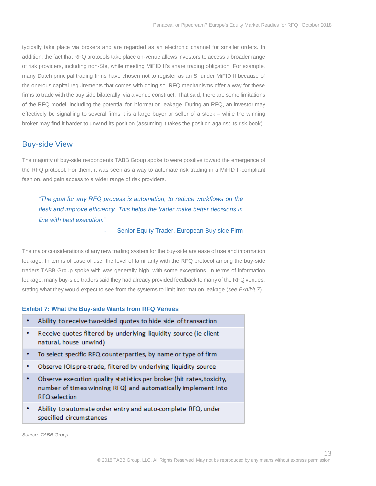typically take place via brokers and are regarded as an electronic channel for smaller orders. In addition, the fact that RFQ protocols take place on-venue allows investors to access a broader range of risk providers, including non-SIs, while meeting MiFID II's share trading obligation. For example, many Dutch principal trading firms have chosen not to register as an SI under MiFID II because of the onerous capital requirements that comes with doing so. RFQ mechanisms offer a way for these firms to trade with the buy side bilaterally, via a venue construct. That said, there are some limitations of the RFQ model, including the potential for information leakage. During an RFQ, an investor may effectively be signalling to several firms it is a large buyer or seller of a stock – while the winning broker may find it harder to unwind its position (assuming it takes the position against its risk book).

### Buy-side View

The majority of buy-side respondents TABB Group spoke to were positive toward the emergence of the RFQ protocol. For them, it was seen as a way to automate risk trading in a MiFID II-compliant fashion, and gain access to a wider range of risk providers.

*"The goal for any RFQ process is automation, to reduce workflows on the desk and improve efficiency. This helps the trader make better decisions in line with best execution."* 

<span id="page-12-0"></span>Senior Equity Trader, European Buy-side Firm

The major considerations of any new trading system for the buy-side are ease of use and information leakage. In terms of ease of use, the level of familiarity with the RFQ protocol among the buy-side traders TABB Group spoke with was generally high, with some exceptions. In terms of information leakage, many buy-side traders said they had already provided feedback to many of the RFQ venues, stating what they would expect to see from the systems to limit information leakage (*see Exhibit 7*).

#### **Exhibit 7: What the Buy-side Wants from RFQ Venues**

- $\cdot$ Ability to receive two-sided quotes to hide side of transaction
- $\bullet$ Receive quotes filtered by underlying liquidity source (ie client natural, house unwind)
- $\bullet$ To select specific RFQ counterparties, by name or type of firm
- $\bullet$ Observe IOIs pre-trade, filtered by underlying liquidity source
- $\bullet$ Observe execution quality statistics per broker (hit rates, toxicity, number of times winning RFQ) and automatically implement into **RFQ** selection
- $\bullet$ Ability to automate order entry and auto-complete RFQ, under specified circumstances

*Source: TABB Group*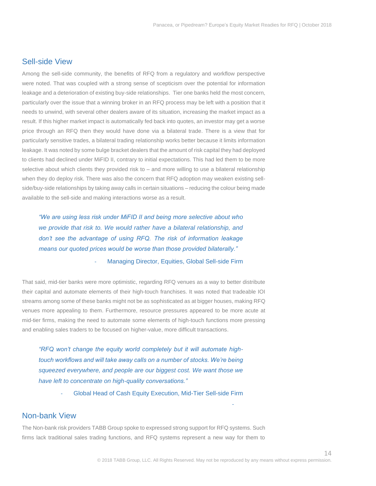### <span id="page-13-0"></span>Sell-side View

Among the sell-side community, the benefits of RFQ from a regulatory and workflow perspective were noted. That was coupled with a strong sense of scepticism over the potential for information leakage and a deterioration of existing buy-side relationships. Tier one banks held the most concern, particularly over the issue that a winning broker in an RFQ process may be left with a position that it needs to unwind, with several other dealers aware of its situation, increasing the market impact as a result. If this higher market impact is automatically fed back into quotes, an investor may get a worse price through an RFQ then they would have done via a bilateral trade. There is a view that for particularly sensitive trades, a bilateral trading relationship works better because it limits information leakage. It was noted by some bulge bracket dealers that the amount of risk capital they had deployed to clients had declined under MiFID II, contrary to initial expectations. This had led them to be more selective about which clients they provided risk to – and more willing to use a bilateral relationship when they do deploy risk. There was also the concern that RFQ adoption may weaken existing sellside/buy-side relationships by taking away calls in certain situations – reducing the colour being made available to the sell-side and making interactions worse as a result.

*"We are using less risk under MiFID II and being more selective about who we provide that risk to. We would rather have a bilateral relationship, and don't see the advantage of using RFQ. The risk of information leakage means our quoted prices would be worse than those provided bilaterally."*  Managing Director, Equities, Global Sell-side Firm

That said, mid-tier banks were more optimistic, regarding RFQ venues as a way to better distribute their capital and automate elements of their high-touch franchises. It was noted that tradeable IOI streams among some of these banks might not be as sophisticated as at bigger houses, making RFQ venues more appealing to them. Furthermore, resource pressures appeared to be more acute at mid-tier firms, making the need to automate some elements of high-touch functions more pressing and enabling sales traders to be focused on higher-value, more difficult transactions.

*"RFQ won't change the equity world completely but it will automate hightouch workflows and will take away calls on a number of stocks. We're being squeezed everywhere, and people are our biggest cost. We want those we have left to concentrate on high-quality conversations."*

- Global Head of Cash Equity Execution, Mid-Tier Sell-side Firm

### <span id="page-13-1"></span>Non-bank View

The Non-bank risk providers TABB Group spoke to expressed strong support for RFQ systems. Such firms lack traditional sales trading functions, and RFQ systems represent a new way for them to

-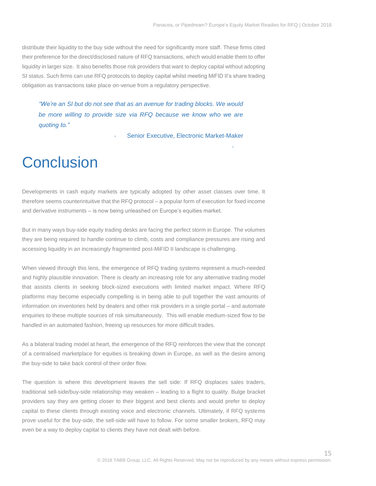-

distribute their liquidity to the buy side without the need for significantly more staff. These firms cited their preference for the direct/disclosed nature of RFQ transactions, which would enable them to offer liquidity in larger size. It also benefits those risk providers that want to deploy capital without adopting SI status. Such firms can use RFQ protocols to deploy capital whilst meeting MiFID II's share trading obligation as transactions take place on-venue from a regulatory perspective.

*"We're an SI but do not see that as an avenue for trading blocks. We would be more willing to provide size via RFQ because we know who we are quoting to."* 

Senior Executive, Electronic Market-Maker

### <span id="page-14-0"></span>**Conclusion**

Developments in cash equity markets are typically adopted by other asset classes over time. It therefore seems counterintuitive that the RFQ protocol – a popular form of execution for fixed income and derivative instruments – is now being unleashed on Europe's equities market.

But in many ways buy-side equity trading desks are facing the perfect storm in Europe. The volumes they are being required to handle continue to climb, costs and compliance pressures are rising and accessing liquidity in an increasingly fragmented post-MiFID II landscape is challenging.

When viewed through this lens, the emergence of RFQ trading systems represent a much-needed and highly plausible innovation. There is clearly an increasing role for any alternative trading model that assists clients in seeking block-sized executions with limited market impact. Where RFQ platforms may become especially compelling is in being able to pull together the vast amounts of information on inventories held by dealers and other risk providers in a single portal – and automate enquiries to these multiple sources of risk simultaneously. This will enable medium-sized flow to be handled in an automated fashion, freeing up resources for more difficult trades.

As a bilateral trading model at heart, the emergence of the RFQ reinforces the view that the concept of a centralised marketplace for equities is breaking down in Europe, as well as the desire among the buy-side to take back control of their order flow.

The question is where this development leaves the sell side: If RFQ displaces sales traders, traditional sell-side/buy-side relationship may weaken – leading to a flight to quality. Bulge bracket providers say they are getting closer to their biggest and best clients and would prefer to deploy capital to these clients through existing voice and electronic channels. Ultimately, if RFQ systems prove useful for the buy-side, the sell-side will have to follow. For some smaller brokers, RFQ may even be a way to deploy capital to clients they have not dealt with before.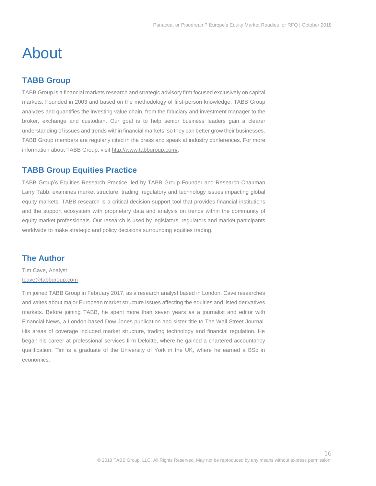### <span id="page-15-0"></span>About

### <span id="page-15-1"></span>**TABB Group**

TABB Group is a financial markets research and strategic advisory firm focused exclusively on capital markets. Founded in 2003 and based on the methodology of first-person knowledge, TABB Group analyzes and quantifies the investing value chain, from the fiduciary and investment manager to the broker, exchange and custodian. Our goal is to help senior business leaders gain a clearer understanding of issues and trends within financial markets, so they can better grow their businesses. TABB Group members are regularly cited in the press and speak at industry conferences. For more information about TABB Group, visit [http://www.tabbgroup.com/.](http://www.tabbgroup.com/)

### <span id="page-15-2"></span>**TABB Group Equities Practice**

TABB Group's Equities Research Practice, led by TABB Group Founder and Research Chairman Larry Tabb, examines market structure, trading, regulatory and technology issues impacting global equity markets. TABB research is a critical decision-support tool that provides financial institutions and the support ecosystem with proprietary data and analysis on trends within the community of equity market professionals. Our research is used by legislators, regulators and market participants worldwide to make strategic and policy decisions surrounding equities trading.

### <span id="page-15-3"></span>**The Author**

Tim Cave, Analyst [tcave@tabbgroup.com](mailto:tcave@tabbgroup.com) 

Tim joined TABB Group in February 2017, as a research analyst based in London. Cave researches and writes about major European market structure issues affecting the equities and listed derivatives markets. Before joining TABB, he spent more than seven years as a journalist and editor with Financial News, a London-based Dow Jones publication and sister title to The Wall Street Journal. His areas of coverage included market structure, trading technology and financial regulation. He began his career at professional services firm Deloitte, where he gained a chartered accountancy qualification. Tim is a graduate of the University of York in the UK, where he earned a BSc in economics.